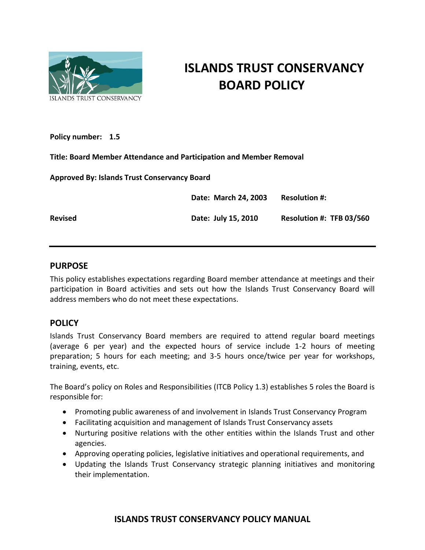

# **ISLANDS TRUST CONSERVANCY BOARD POLICY**

**Policy number: 1.5**

**Title: Board Member Attendance and Participation and Member Removal**

**Approved By: Islands Trust Conservancy Board** 

|                | Date: March 24, 2003 | <b>Resolution #:</b>     |
|----------------|----------------------|--------------------------|
| <b>Revised</b> | Date: July 15, 2010  | Resolution #: TFB 03/560 |

## **PURPOSE**

This policy establishes expectations regarding Board member attendance at meetings and their participation in Board activities and sets out how the Islands Trust Conservancy Board will address members who do not meet these expectations.

# **POLICY**

Islands Trust Conservancy Board members are required to attend regular board meetings (average 6 per year) and the expected hours of service include 1-2 hours of meeting preparation; 5 hours for each meeting; and 3-5 hours once/twice per year for workshops, training, events, etc.

The Board's policy on Roles and Responsibilities (ITCB Policy 1.3) establishes 5 roles the Board is responsible for:

- Promoting public awareness of and involvement in Islands Trust Conservancy Program
- Facilitating acquisition and management of Islands Trust Conservancy assets
- Nurturing positive relations with the other entities within the Islands Trust and other agencies.
- Approving operating policies, legislative initiatives and operational requirements, and
- Updating the Islands Trust Conservancy strategic planning initiatives and monitoring their implementation.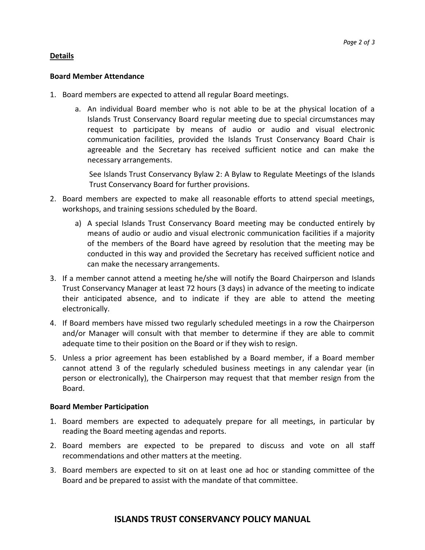### **Details**

#### **Board Member Attendance**

- 1. Board members are expected to attend all regular Board meetings.
	- a. An individual Board member who is not able to be at the physical location of a Islands Trust Conservancy Board regular meeting due to special circumstances may request to participate by means of audio or audio and visual electronic communication facilities, provided the Islands Trust Conservancy Board Chair is agreeable and the Secretary has received sufficient notice and can make the necessary arrangements.

See Islands Trust Conservancy Bylaw 2: A Bylaw to Regulate Meetings of the Islands Trust Conservancy Board for further provisions.

- 2. Board members are expected to make all reasonable efforts to attend special meetings, workshops, and training sessions scheduled by the Board.
	- a) A special Islands Trust Conservancy Board meeting may be conducted entirely by means of audio or audio and visual electronic communication facilities if a majority of the members of the Board have agreed by resolution that the meeting may be conducted in this way and provided the Secretary has received sufficient notice and can make the necessary arrangements.
- 3. If a member cannot attend a meeting he/she will notify the Board Chairperson and Islands Trust Conservancy Manager at least 72 hours (3 days) in advance of the meeting to indicate their anticipated absence, and to indicate if they are able to attend the meeting electronically.
- 4. If Board members have missed two regularly scheduled meetings in a row the Chairperson and/or Manager will consult with that member to determine if they are able to commit adequate time to their position on the Board or if they wish to resign.
- 5. Unless a prior agreement has been established by a Board member, if a Board member cannot attend 3 of the regularly scheduled business meetings in any calendar year (in person or electronically), the Chairperson may request that that member resign from the Board.

#### **Board Member Participation**

- 1. Board members are expected to adequately prepare for all meetings, in particular by reading the Board meeting agendas and reports.
- 2. Board members are expected to be prepared to discuss and vote on all staff recommendations and other matters at the meeting.
- 3. Board members are expected to sit on at least one ad hoc or standing committee of the Board and be prepared to assist with the mandate of that committee.